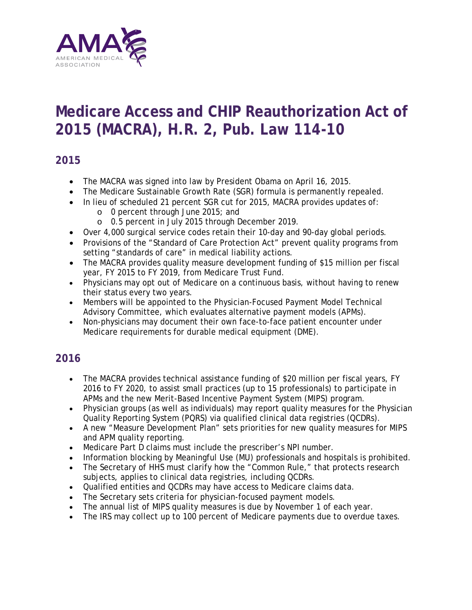

# **Medicare Access and CHIP Reauthorization Act of 2015 (MACRA), H.R. 2, Pub. Law 114-10**

# **2015**

- The MACRA was signed into law by President Obama on April 16, 2015.
- The Medicare Sustainable Growth Rate (SGR) formula is permanently repealed.
- In lieu of scheduled 21 percent SGR cut for 2015, MACRA provides updates of:
	- o 0 percent through June 2015; and
	- o 0.5 percent in July 2015 through December 2019.
- Over 4,000 surgical service codes retain their 10-day and 90-day global periods.
- Provisions of the "Standard of Care Protection Act" prevent quality programs from setting "standards of care" in medical liability actions.
- The MACRA provides quality measure development funding of \$15 million per fiscal year, FY 2015 to FY 2019, from Medicare Trust Fund.
- Physicians may opt out of Medicare on a continuous basis, without having to renew their status every two years.
- Members will be appointed to the Physician-Focused Payment Model Technical Advisory Committee, which evaluates alternative payment models (APMs).
- Non-physicians may document their own face-to-face patient encounter under Medicare requirements for durable medical equipment (DME).

# **2016**

- The MACRA provides technical assistance funding of \$20 million per fiscal years, FY 2016 to FY 2020, to assist small practices (up to 15 professionals) to participate in APMs and the new Merit-Based Incentive Payment System (MIPS) program.
- Physician groups (as well as individuals) may report quality measures for the Physician Quality Reporting System (PQRS) via qualified clinical data registries (QCDRs).
- A new "Measure Development Plan" sets priorities for new quality measures for MIPS and APM quality reporting.
- Medicare Part D claims must include the prescriber's NPI number.
- Information blocking by Meaningful Use (MU) professionals and hospitals is prohibited.
- The Secretary of HHS must clarify how the "Common Rule," that protects research subjects, applies to clinical data registries, including QCDRs.
- Qualified entities and QCDRs may have access to Medicare claims data.
- The Secretary sets criteria for physician-focused payment models.
- The annual list of MIPS quality measures is due by November 1 of each year.
- The IRS may collect up to 100 percent of Medicare payments due to overdue taxes.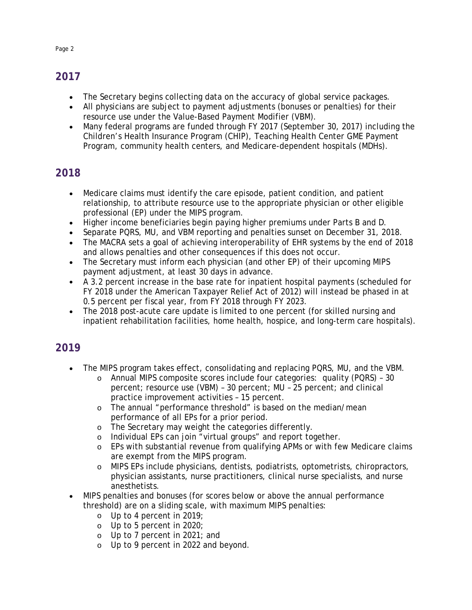# **2017**

- The Secretary begins collecting data on the accuracy of global service packages.
- All physicians are subject to payment adjustments (bonuses or penalties) for their resource use under the Value-Based Payment Modifier (VBM).
- Many federal programs are funded through FY 2017 (September 30, 2017) including the Children's Health Insurance Program (CHIP), Teaching Health Center GME Payment Program, community health centers, and Medicare-dependent hospitals (MDHs).

#### **2018**

- Medicare claims must identify the care episode, patient condition, and patient relationship, to attribute resource use to the appropriate physician or other eligible professional (EP) under the MIPS program.
- Higher income beneficiaries begin paying higher premiums under Parts B and D.
- Separate PQRS, MU, and VBM reporting and penalties sunset on December 31, 2018.
- The MACRA sets a goal of achieving interoperability of EHR systems by the end of 2018 and allows penalties and other consequences if this does not occur.
- The Secretary must inform each physician (and other EP) of their upcoming MIPS payment adjustment, at least 30 days in advance.
- A 3.2 percent increase in the base rate for inpatient hospital payments (scheduled for FY 2018 under the American Taxpayer Relief Act of 2012) will instead be phased in at 0.5 percent per fiscal year, from FY 2018 through FY 2023.
- The 2018 post-acute care update is limited to one percent (for skilled nursing and inpatient rehabilitation facilities, home health, hospice, and long-term care hospitals).

#### **2019**

- The MIPS program takes effect, consolidating and replacing PQRS, MU, and the VBM.
	- o Annual MIPS composite scores include four categories: quality (PQRS) 30 percent; resource use (VBM) – 30 percent; MU – 25 percent; and clinical practice improvement activities – 15 percent.
	- o The annual "performance threshold" is based on the median/mean performance of all EPs for a prior period.
	- o The Secretary may weight the categories differently.<br>
	o Individual EPs can join "virtual groups" and report to
	- o Individual EPs can join "virtual groups" and report together.<br>
	o EPs with substantial revenue from qualifying APMs or with fe
	- EPs with substantial revenue from qualifying APMs or with few Medicare claims are exempt from the MIPS program.
	- o MIPS EPs include physicians, dentists, podiatrists, optometrists, chiropractors, physician assistants, nurse practitioners, clinical nurse specialists, and nurse anesthetists.
- MIPS penalties and bonuses (for scores below or above the annual performance threshold) are on a sliding scale, with maximum MIPS penalties:
	- o Up to 4 percent in 2019;
	- o Up to 5 percent in 2020;
	- o Up to 7 percent in 2021; and
	- o Up to 9 percent in 2022 and beyond.